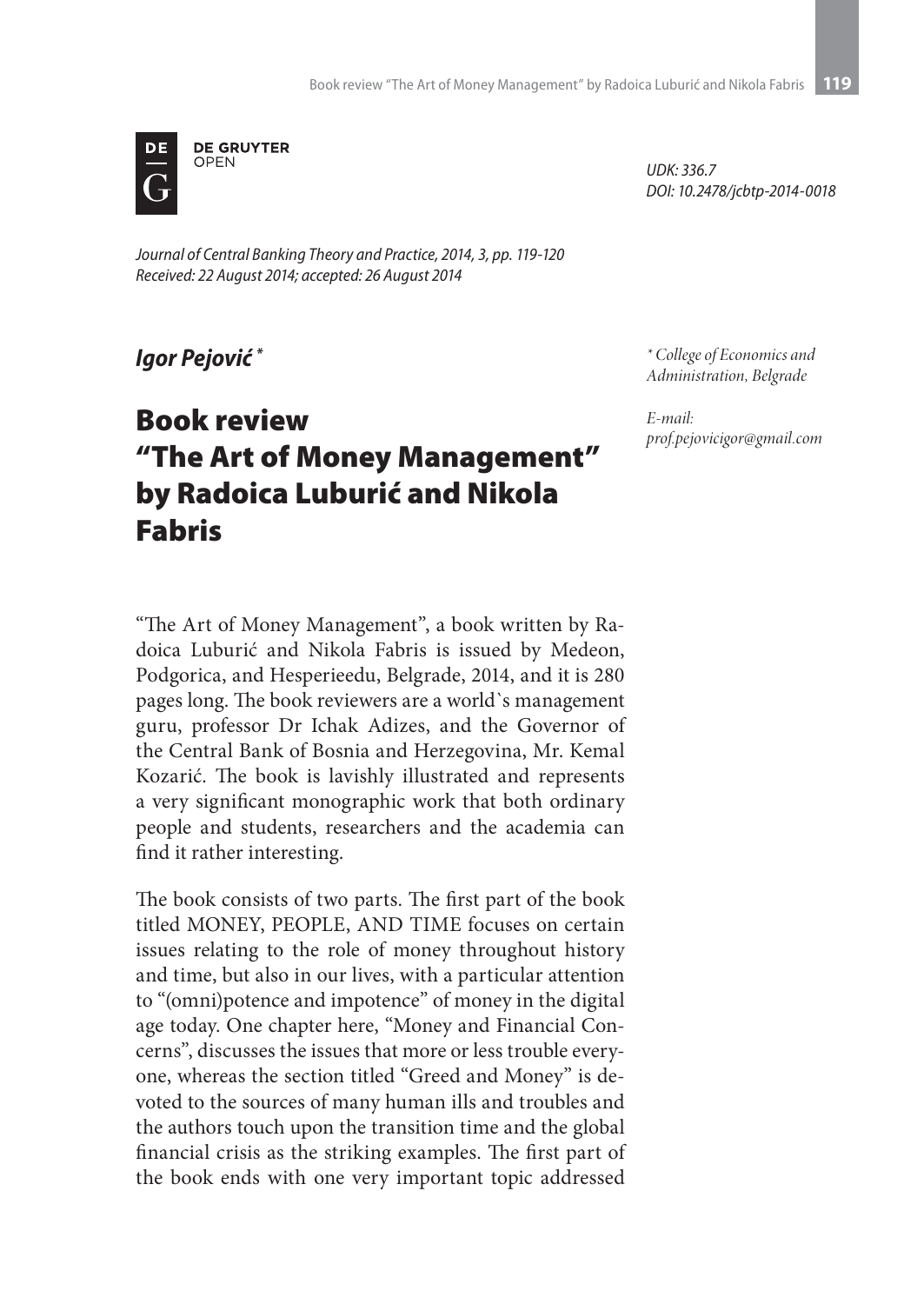

*Journal of Central Banking Theory and Practice, 2014, 3, pp. 119-120 Received: 22 August 2014; accepted: 26 August 2014*

*Igor Pejović \**

## Book review "The Art of Money Management" by Radoica Luburić and Nikola Fabris

*UDK: 336.7 DOI: 10.2478/jcbtp-2014-0018*

*\* College of Economics and Administration, Belgrade*

*E-mail: prof.pejovicigor@gmail.com*

"The Art of Money Management", a book written by Radoica Luburić and Nikola Fabris is issued by Medeon, Podgorica, and Hesperieedu, Belgrade, 2014, and it is 280 pages long. The book reviewers are a world`s management guru, professor Dr Ichak Adizes, and the Governor of the Central Bank of Bosnia and Herzegovina, Mr. Kemal Kozarić. The book is lavishly illustrated and represents a very significant monographic work that both ordinary people and students, researchers and the academia can find it rather interesting.

The book consists of two parts. The first part of the book titled MONEY, PEOPLE, AND TIME focuses on certain issues relating to the role of money throughout history and time, but also in our lives, with a particular attention to "(omni)potence and impotence" of money in the digital age today. One chapter here, "Money and Financial Concerns", discusses the issues that more or less trouble everyone, whereas the section titled "Greed and Money" is devoted to the sources of many human ills and troubles and the authors touch upon the transition time and the global financial crisis as the striking examples. The first part of the book ends with one very important topic addressed